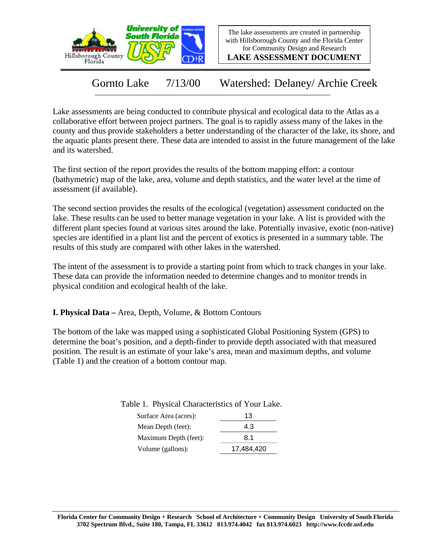



**LAKE ASSESSMENT DOCUMENT**

Gornto Lake 7/13/00 Watershed: Delaney/ Archie Creek

Lake assessments are being conducted to contribute physical and ecological data to the Atlas as a collaborative effort between project partners. The goal is to rapidly assess many of the lakes in the county and thus provide stakeholders a better understanding of the character of the lake, its shore, and the aquatic plants present there. These data are intended to assist in the future management of the lake and its watershed.

The first section of the report provides the results of the bottom mapping effort: a contour (bathymetric) map of the lake, area, volume and depth statistics, and the water level at the time of assessment (if available).

The second section provides the results of the ecological (vegetation) assessment conducted on the lake. These results can be used to better manage vegetation in your lake. A list is provided with the different plant species found at various sites around the lake. Potentially invasive, exotic (non-native) species are identified in a plant list and the percent of exotics is presented in a summary table. The results of this study are compared with other lakes in the watershed.

The intent of the assessment is to provide a starting point from which to track changes in your lake. These data can provide the information needed to determine changes and to monitor trends in physical condition and ecological health of the lake.

**I. Physical Data –** Area, Depth, Volume, & Bottom Contours

The bottom of the lake was mapped using a sophisticated Global Positioning System (GPS) to determine the boat's position, and a depth-finder to provide depth associated with that measured position. The result is an estimate of your lake's area, mean and maximum depths, and volume (Table 1) and the creation of a bottom contour map.

| Surface Area (acres): | 13         |
|-----------------------|------------|
| Mean Depth (feet):    | 4.3        |
| Maximum Depth (feet): | 8.1        |
| Volume (gallons):     | 17,484,420 |

Table 1. Physical Characteristics of Your Lake.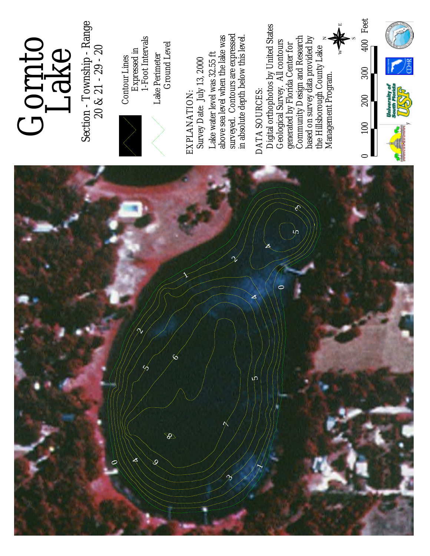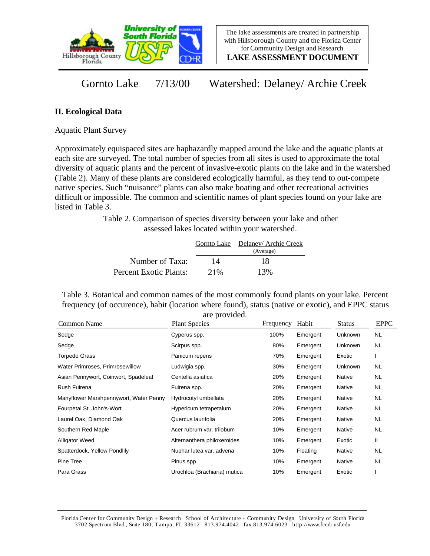

**LAKE ASSESSMENT DOCUMENT**

Gornto Lake 7/13/00 Watershed: Delaney/ Archie Creek

## **II. Ecological Data**

Aquatic Plant Survey

Approximately equispaced sites are haphazardly mapped around the lake and the aquatic plants at each site are surveyed. The total number of species from all sites is used to approximate the total diversity of aquatic plants and the percent of invasive-exotic plants on the lake and in the watershed (Table 2). Many of these plants are considered ecologically harmful, as they tend to out-compete native species. Such "nuisance" plants can also make boating and other recreational activities difficult or impossible. The common and scientific names of plant species found on your lake are listed in Table 3.

> Table 2. Comparison of species diversity between your lake and other assessed lakes located within your watershed.

|                        |     | Gornto Lake Delaney/Archie Creek |
|------------------------|-----|----------------------------------|
|                        |     | (Average)                        |
| Number of Taxa:        | 14  | 18                               |
| Percent Exotic Plants: | 21% | 13%                              |

Table 3. Botanical and common names of the most commonly found plants on your lake. Percent frequency (of occurence), habit (location where found), status (native or exotic), and EPPC status are provided.

| Common Name                            | <b>Plant Species</b>         | Frequency | Habit    | <b>Status</b>  | <b>EPPC</b> |
|----------------------------------------|------------------------------|-----------|----------|----------------|-------------|
| Sedge                                  | Cyperus spp.                 | 100%      | Emergent | Unknown        | NL.         |
| Sedge                                  | Scirpus spp.                 | 80%       | Emergent | Unknown        | NL.         |
| Torpedo Grass                          | Panicum repens               | 70%       | Emergent | Exotic         |             |
| Water Primroses, Primrosewillow        | Ludwigia spp.                | 30%       | Emergent | <b>Unknown</b> | NL          |
| Asian Pennywort, Coinwort, Spadeleaf   | Centella asiatica            | 20%       | Emergent | Native         | NL          |
| Rush Fuirena                           | Fuirena spp.                 | 20%       | Emergent | Native         | NL.         |
| Manyflower Marshpennywort, Water Penny | Hydrocotyl umbellata         | 20%       | Emergent | Native         | <b>NL</b>   |
| Fourpetal St. John's-Wort              | Hypericum tetrapetalum       | 20%       | Emergent | Native         | <b>NL</b>   |
| Laurel Oak; Diamond Oak                | Quercus laurifolia           | 20%       | Emergent | Native         | <b>NL</b>   |
| Southern Red Maple                     | Acer rubrum var. trilobum    | 10%       | Emergent | Native         | <b>NL</b>   |
| <b>Alligator Weed</b>                  | Alternanthera philoxeroides  | 10%       | Emergent | Exotic         | Ш           |
| Spatterdock, Yellow Pondlily           | Nuphar lutea var. advena     | 10%       | Floating | Native         | <b>NL</b>   |
| Pine Tree                              | Pinus spp.                   | 10%       | Emergent | Native         | NL          |
| Para Grass                             | Urochloa (Brachiaria) mutica | 10%       | Emergent | Exotic         |             |